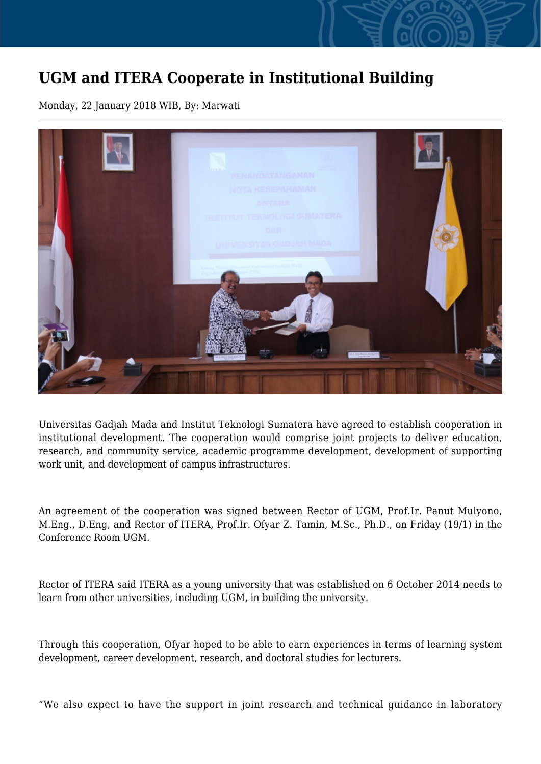## **UGM and ITERA Cooperate in Institutional Building**

Monday, 22 January 2018 WIB, By: Marwati



Universitas Gadjah Mada and Institut Teknologi Sumatera have agreed to establish cooperation in institutional development. The cooperation would comprise joint projects to deliver education, research, and community service, academic programme development, development of supporting work unit, and development of campus infrastructures.

An agreement of the cooperation was signed between Rector of UGM, Prof.Ir. Panut Mulyono, M.Eng., D.Eng, and Rector of ITERA, Prof.Ir. Ofyar Z. Tamin, M.Sc., Ph.D., on Friday (19/1) in the Conference Room UGM.

Rector of ITERA said ITERA as a young university that was established on 6 October 2014 needs to learn from other universities, including UGM, in building the university.

Through this cooperation, Ofyar hoped to be able to earn experiences in terms of learning system development, career development, research, and doctoral studies for lecturers.

"We also expect to have the support in joint research and technical guidance in laboratory